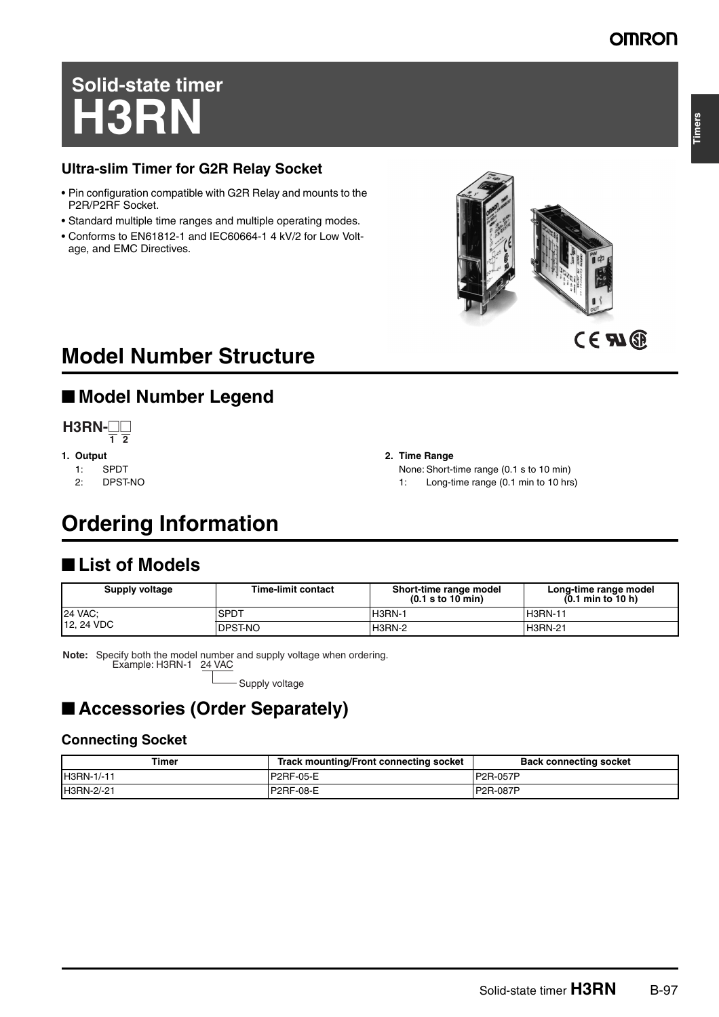# **Solid-state timer H3RN**

### **Ultra-slim Timer for G2R Relay Socket**

- Pin configuration compatible with G2R Relay and mounts to the P2R/P2RF Socket.
- Standard multiple time ranges and multiple operating modes.
- Conforms to EN61812-1 and IEC60664-1 4 kV/2 for Low Voltage, and EMC Directives.





# **Model Number Structure**

# ■ **Model Number Legend**



- **1. Output**
	-
	- 1: SPDT<br>2: DPST DPST-NO

#### **2. Time Range**

None: Short-time range (0.1 s to 10 min) 1: Long-time range (0.1 min to 10 hrs)

# **Ordering Information**

## ■ **List of Models**

| <b>Supply voltage</b> | <b>Time-limit contact</b> | Short-time range model<br>$(0.1$ s to $10$ min) | Long-time range model<br>$(0.1 \text{ min to } 10 \text{ h})$ |
|-----------------------|---------------------------|-------------------------------------------------|---------------------------------------------------------------|
| <b>24 VAC:</b>        | <b>SPDT</b>               | <b>H3RN-1</b>                                   | <b>H3RN-11</b>                                                |
| 12, 24 VDC            | <b>DPST-NO</b>            | H3RN-2                                          | <b>H3RN-21</b>                                                |

**Note:** Specify both the model number and supply voltage when ordering. Example: H3RN-1 24 VAC

- Supply voltage

# ■ **Accessories (Order Separately)**

### **Connecting Socket**

| Timer      | Track mounting/Front connecting socket | <b>Back connecting socket</b> |
|------------|----------------------------------------|-------------------------------|
| H3RN-1/-11 | P2RF-05-E                              | P2R-057P                      |
| H3RN-2/-21 | P2RF-08-E                              | <b>IP2R-087P</b>              |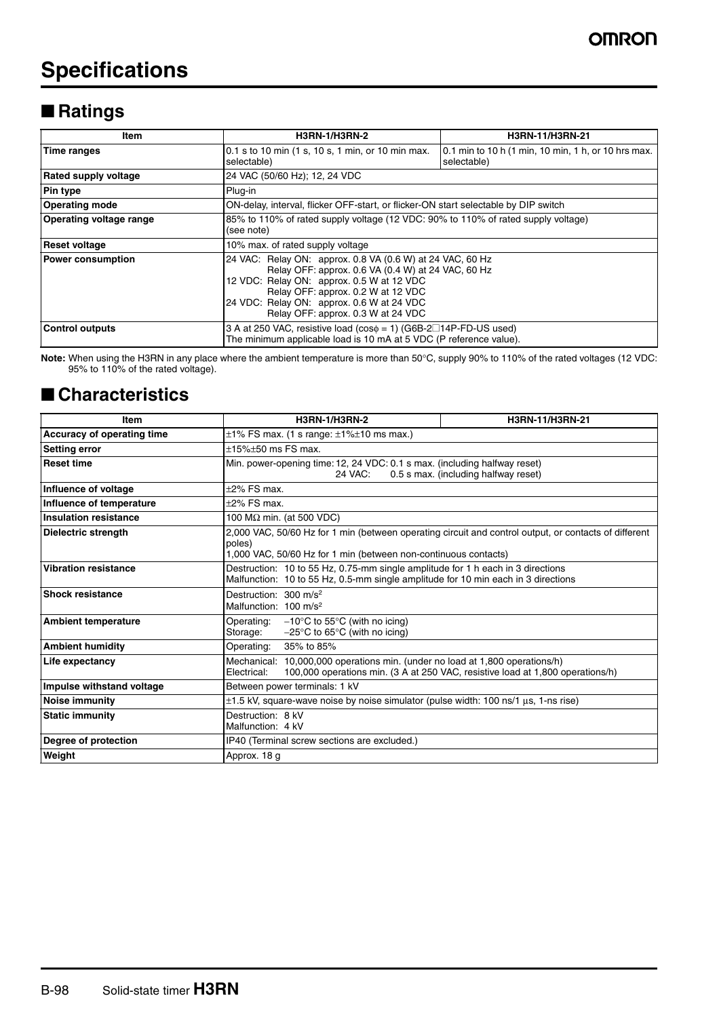# **Specifications**

# ■ **Ratings**

| Item                           | <b>H3RN-1/H3RN-2</b>                                                                                                                                                                                                                                                                  | <b>H3RN-11/H3RN-21</b>                                             |  |
|--------------------------------|---------------------------------------------------------------------------------------------------------------------------------------------------------------------------------------------------------------------------------------------------------------------------------------|--------------------------------------------------------------------|--|
| Time ranges                    | 0.1 s to 10 min (1 s, 10 s, 1 min, or 10 min max.<br>selectable)                                                                                                                                                                                                                      | 0.1 min to 10 h (1 min, 10 min, 1 h, or 10 hrs max.<br>selectable) |  |
| <b>Rated supply voltage</b>    | 24 VAC (50/60 Hz); 12, 24 VDC                                                                                                                                                                                                                                                         |                                                                    |  |
| <b>Pin type</b>                | Plug-in                                                                                                                                                                                                                                                                               |                                                                    |  |
| <b>Operating mode</b>          | ON-delay, interval, flicker OFF-start, or flicker-ON start selectable by DIP switch                                                                                                                                                                                                   |                                                                    |  |
| <b>Operating voltage range</b> | 85% to 110% of rated supply voltage (12 VDC: 90% to 110% of rated supply voltage)<br>(see note)                                                                                                                                                                                       |                                                                    |  |
| <b>Reset voltage</b>           | 10% max. of rated supply voltage                                                                                                                                                                                                                                                      |                                                                    |  |
| <b>Power consumption</b>       | 24 VAC: Relay ON: approx. 0.8 VA (0.6 W) at 24 VAC, 60 Hz<br>Relay OFF: approx. 0.6 VA (0.4 W) at 24 VAC, 60 Hz<br>12 VDC: Relay ON: approx. 0.5 W at 12 VDC<br>Relay OFF: approx. 0.2 W at 12 VDC<br>24 VDC: Relay ON: approx. 0.6 W at 24 VDC<br>Relay OFF: approx. 0.3 W at 24 VDC |                                                                    |  |
| <b>Control outputs</b>         | 3 A at 250 VAC, resistive load ( $cos\phi = 1$ ) (G6B-2 $\Box$ 14P-FD-US used)<br>The minimum applicable load is 10 mA at 5 VDC (P reference value).                                                                                                                                  |                                                                    |  |

**Note:** When using the H3RN in any place where the ambient temperature is more than 50°C, supply 90% to 110% of the rated voltages (12 VDC: 95% to 110% of the rated voltage).

### ■ **Characteristics**

| <b>Item</b>                  | <b>H3RN-1/H3RN-2</b>                                                                                                                                                               | H3RN-11/H3RN-21                                                                |  |
|------------------------------|------------------------------------------------------------------------------------------------------------------------------------------------------------------------------------|--------------------------------------------------------------------------------|--|
| Accuracy of operating time   | $\pm$ 1% FS max. (1 s range: $\pm$ 1% $\pm$ 10 ms max.)                                                                                                                            |                                                                                |  |
| <b>Setting error</b>         | $\pm$ 15% $\pm$ 50 ms FS max.                                                                                                                                                      |                                                                                |  |
| <b>Reset time</b>            | Min. power-opening time: 12, 24 VDC: 0.1 s max. (including halfway reset)<br>0.5 s max. (including halfway reset)<br>24 VAC:                                                       |                                                                                |  |
| Influence of voltage         | $±2\%$ FS max.                                                                                                                                                                     |                                                                                |  |
| Influence of temperature     | $\pm 2\%$ FS max.                                                                                                                                                                  |                                                                                |  |
| <b>Insulation resistance</b> | 100 M $\Omega$ min. (at 500 VDC)                                                                                                                                                   |                                                                                |  |
| <b>Dielectric strength</b>   | 2,000 VAC, 50/60 Hz for 1 min (between operating circuit and control output, or contacts of different<br>poles)<br>1,000 VAC, 50/60 Hz for 1 min (between non-continuous contacts) |                                                                                |  |
| <b>Vibration resistance</b>  | Destruction: 10 to 55 Hz, 0.75-mm single amplitude for 1 h each in 3 directions<br>Malfunction: 10 to 55 Hz, 0.5-mm single amplitude for 10 min each in 3 directions               |                                                                                |  |
| <b>Shock resistance</b>      | Destruction: 300 m/s <sup>2</sup><br>Malfunction: $100 \text{ m/s}^2$                                                                                                              |                                                                                |  |
| <b>Ambient temperature</b>   | Operating:<br>$-10^{\circ}$ C to 55 $^{\circ}$ C (with no icing)<br>$-25^{\circ}$ C to 65 $^{\circ}$ C (with no icing)<br>Storage:                                                 |                                                                                |  |
| <b>Ambient humidity</b>      | Operating:<br>35% to 85%                                                                                                                                                           |                                                                                |  |
| Life expectancy              | Mechanical: 10,000,000 operations min. (under no load at 1,800 operations/h)<br>Electrical:                                                                                        | 100,000 operations min. (3 A at 250 VAC, resistive load at 1,800 operations/h) |  |
| Impulse withstand voltage    | Between power terminals: 1 kV                                                                                                                                                      |                                                                                |  |
| <b>Noise immunity</b>        | $\pm$ 1.5 kV, square-wave noise by noise simulator (pulse width: 100 ns/1 µs, 1-ns rise)                                                                                           |                                                                                |  |
| <b>Static immunity</b>       | Destruction: 8 kV<br>Malfunction: 4 kV                                                                                                                                             |                                                                                |  |
| Degree of protection         | IP40 (Terminal screw sections are excluded.)                                                                                                                                       |                                                                                |  |
| Weight                       | Approx. 18 g                                                                                                                                                                       |                                                                                |  |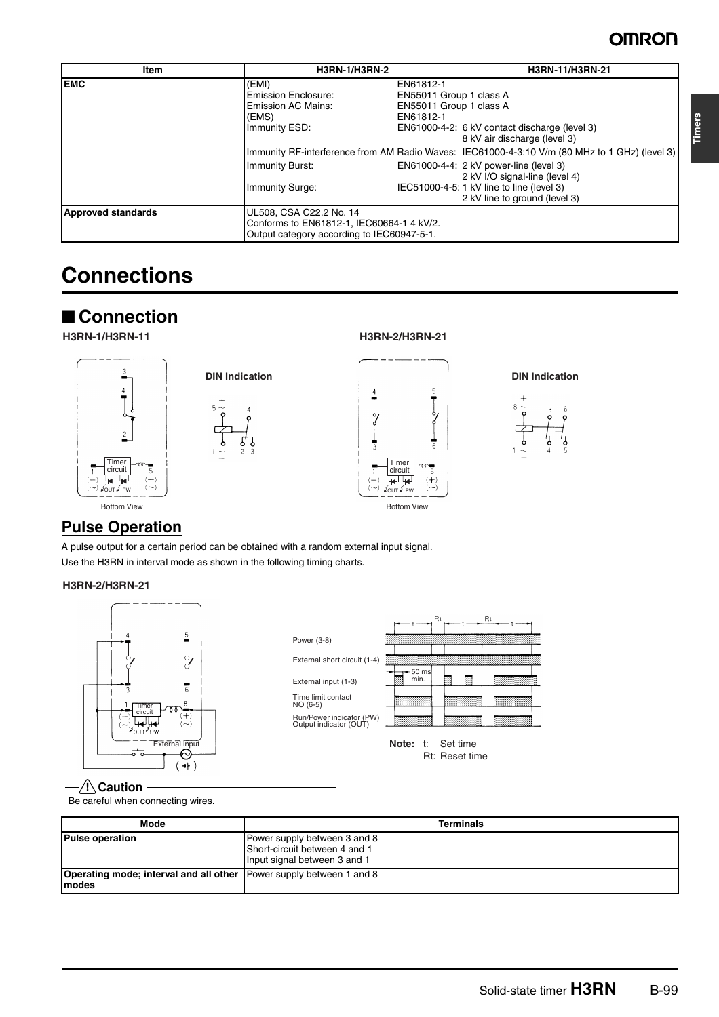# **OMRON**

| <b>Item</b>               | <b>H3RN-1/H3RN-2</b>                                                                                               |                                                                              | H3RN-11/H3RN-21                                                                                                                                                                                                                                         |
|---------------------------|--------------------------------------------------------------------------------------------------------------------|------------------------------------------------------------------------------|---------------------------------------------------------------------------------------------------------------------------------------------------------------------------------------------------------------------------------------------------------|
| <b>EMC</b>                | (EMI)<br>Emission Enclosure:<br><b>Emission AC Mains:</b><br>(EMS)<br>Immunity ESD:                                | EN61812-1<br>EN55011 Group 1 class A<br>EN55011 Group 1 class A<br>EN61812-1 | EN61000-4-2: 6 kV contact discharge (level 3)<br>8 kV air discharge (level 3)                                                                                                                                                                           |
|                           | Immunity Burst:<br>Immunity Surge:                                                                                 |                                                                              | Immunity RF-interference from AM Radio Waves: IEC61000-4-3:10 V/m (80 MHz to 1 GHz) (level 3)<br>EN61000-4-4: 2 kV power-line (level 3)<br>2 kV I/O signal-line (level 4)<br>IEC51000-4-5: 1 kV line to line (level 3)<br>2 kV line to ground (level 3) |
| <b>Approved standards</b> | UL508, CSA C22.2 No. 14<br>Conforms to EN61812-1, IEC60664-1 4 kV/2.<br>Output category according to IEC60947-5-1. |                                                                              |                                                                                                                                                                                                                                                         |

# **Connections**

# ■ **Connection**





#### **H3RN-1/H3RN-11 H3RN-2/H3RN-21**







### **Pulse Operation**

A pulse output for a certain period can be obtained with a random external input signal. Use the H3RN in interval mode as shown in the following timing charts.

#### **H3RN-2/H3RN-21**





**Note:** t: Set time Rt: Reset time

#### $-\bigwedge$  Caution

Be careful when connecting wires.

| Mode                                                                                 | <b>Terminals</b>                                                                              |
|--------------------------------------------------------------------------------------|-----------------------------------------------------------------------------------------------|
| <b>Pulse operation</b>                                                               | Power supply between 3 and 8<br>Short-circuit between 4 and 1<br>Input signal between 3 and 1 |
| <b>Operating mode; interval and all other</b> Power supply between 1 and 8<br>Imodes |                                                                                               |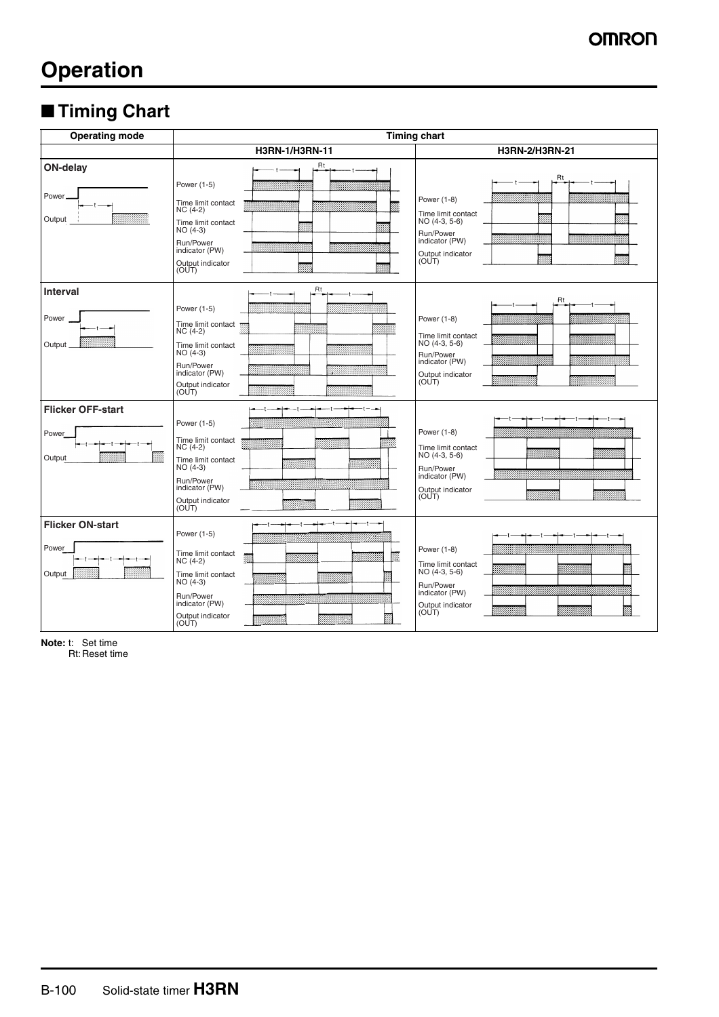# **Operation**

# ■ **Timing Chart**

| <b>Operating mode</b>                       | <b>Timing chart</b>                                                                                                                                        |                                                                                                                                                   |  |
|---------------------------------------------|------------------------------------------------------------------------------------------------------------------------------------------------------------|---------------------------------------------------------------------------------------------------------------------------------------------------|--|
|                                             | H3RN-1/H3RN-11                                                                                                                                             | H3RN-2/H3RN-21                                                                                                                                    |  |
| ON-delay<br>Power.<br>----<br>Output        | <b>Rt</b><br>Power (1-5)<br>Time limit contact<br>$NC(4-2)$<br>Time limit contact<br>$NO(4-3)$<br>Run/Power<br>indicator (PW)<br>Output indicator<br>(OUT) | Rt<br>Power (1-8)<br>Time limit contact<br>NO (4-3, 5-6)<br>Run/Power<br>indicator (PW)<br>Output indicator<br>(OUT)                              |  |
| <b>Interval</b><br>Power<br>Output          | Rt<br>Power (1-5)<br>Time limit contact<br>$NC(4-2)$<br>Time limit contact<br>$NO(4-3)$<br>Run/Power<br>indicator (PW)<br>Output indicator<br>(OUT)        | Rt<br>Power (1-8)<br>Time limit contact<br>NO (4-3, 5-6)<br>Run/Power<br>indicator (PW)<br>Output indicator<br>(OUT)                              |  |
| <b>Flicker OFF-start</b><br>Power<br>Output | Power (1-5)<br>Time limit contact<br>$NC(4-2)$<br>Time limit contact<br>$NO(4-3)$<br>Run/Power<br>indicator (PW)<br>Output indicator<br>(OUT)              | Power (1-8)<br>Time limit contact<br>$NO(4-3, 5-6)$<br>Run/Power<br>,,,,,,,,,,,,,,,,,,,,,,,,,,,,,,<br>indicator (PW)<br>Output indicator<br>(OUT) |  |
| <b>Flicker ON-start</b><br>Power<br>Output  | Power (1-5)<br>Time limit contact<br>$NC(4-2)$<br>Time limit contact<br>NO (4-3)<br>Run/Power<br>indicator (PW)<br>Output indicator<br>(OUT)               | Power (1-8)<br>Time limit contact<br>NO (4-3, 5-6)<br>www.<br><br>Run/Power<br>indicator (PW)<br>Output indicator<br>(OUT)                        |  |

**Note:** t: Set time

Rt: Reset time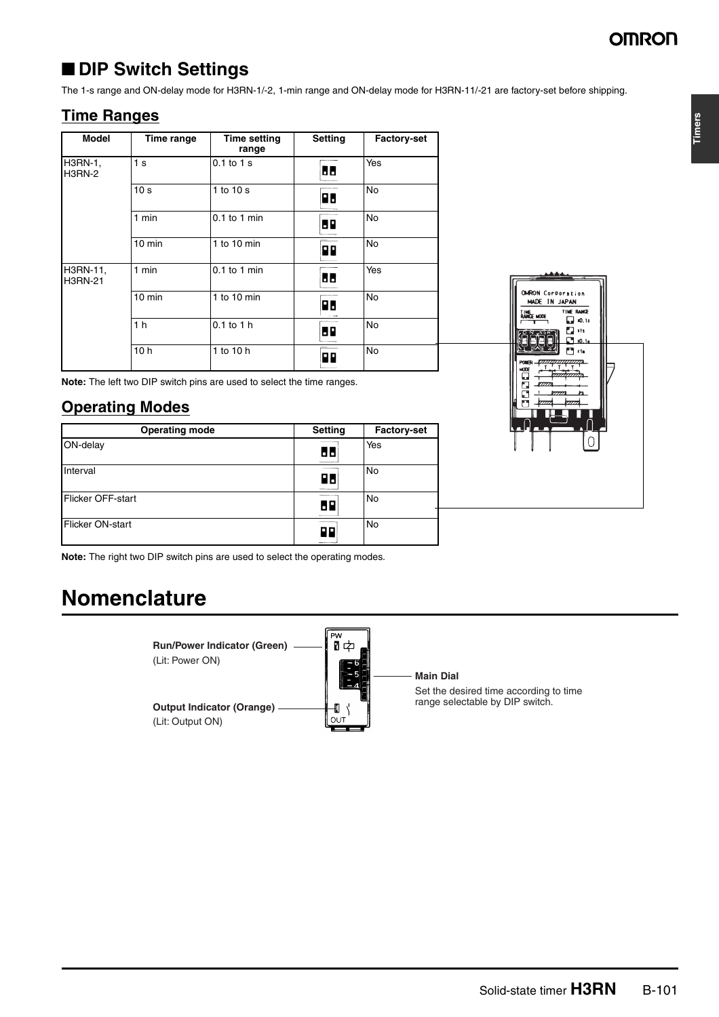**Timers**

# ■ **DIP Switch Settings**

The 1-s range and ON-delay mode for H3RN-1/-2, 1-min range and ON-delay mode for H3RN-11/-21 are factory-set before shipping.

### **Time Ranges**

| <b>Model</b>               | Time range       | <b>Time setting</b><br>range | Setting   | <b>Factory-set</b> |
|----------------------------|------------------|------------------------------|-----------|--------------------|
| H3RN-1,<br><b>H3RN-2</b>   | 1 <sub>s</sub>   | $0.1$ to $1$ s               | 66        | Yes                |
|                            | 10 <sub>s</sub>  | 1 to 10 s                    | <b>PB</b> | <b>No</b>          |
|                            | 1 min            | $0.1$ to 1 min               | 89        | <b>No</b>          |
|                            | $10 \text{ min}$ | 1 to 10 $min$                | P٢        | <b>No</b>          |
| H3RN-11,<br><b>H3RN-21</b> | $1$ min          | $0.1$ to 1 min               | 66        | Yes                |
|                            | $10 \text{ min}$ | 1 to 10 $min$                | R٥        | <b>No</b>          |
|                            | 1 <sub>h</sub>   | $0.1$ to $1$ h               | 69        | <b>No</b>          |
|                            | 10 <sub>h</sub>  | 1 to 10 h                    | P٢        | <b>No</b>          |

**Note:** The left two DIP switch pins are used to select the time ranges.

### **Operating Modes**

| <b>Operating mode</b> | Setting | <b>Factory-set</b> |
|-----------------------|---------|--------------------|
| ON-delay              | 88      | Yes                |
| Interval              | 86      | No                 |
| Flicker OFF-start     | 68      | No                 |
| Flicker ON-start      | 99      | No                 |



**Note:** The right two DIP switch pins are used to select the operating modes.

# **Nomenclature**

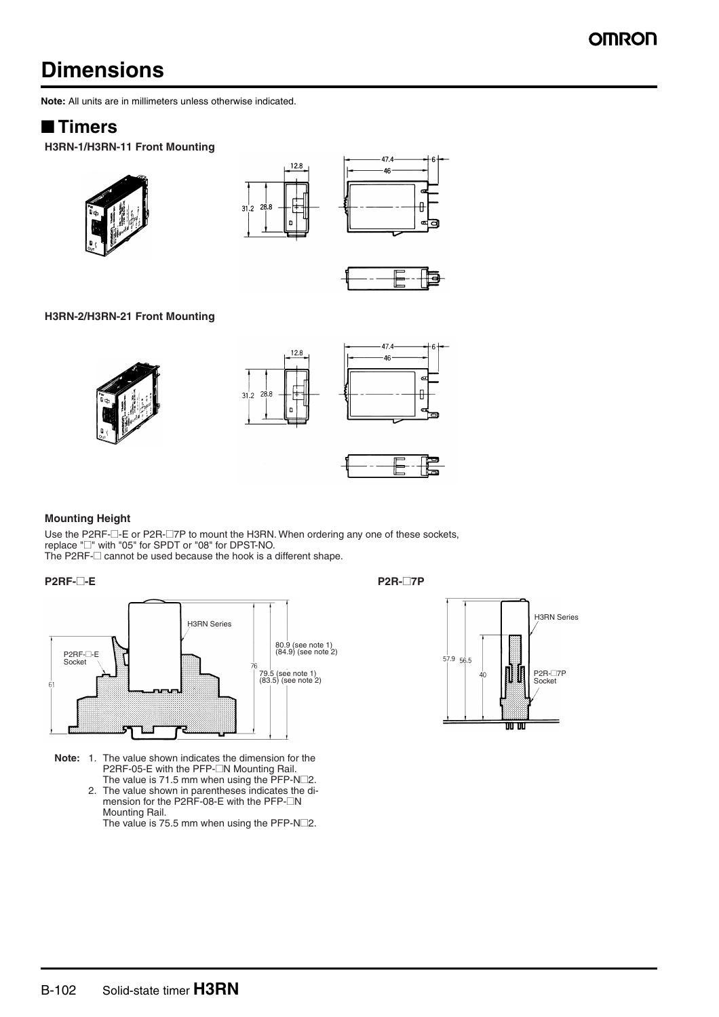# **Dimensions**

**Note:** All units are in millimeters unless otherwise indicated.

### ■ **Timers**

**H3RN-1/H3RN-11 Front Mounting**









#### **H3RN-2/H3RN-21 Front Mounting**







### **Mounting Height**

Use the P2RF- $\square$ -E or P2R- $\square$ 7P to mount the H3RN. When ordering any one of these sockets, replace "@" with "05" for SPDT or "08" for DPST-NO. The P2RF- $\Box$  cannot be used because the hook is a different shape.

#### **P2RF-**@**-E P2R-**@**7P**



- **Note:** 1. The value shown indicates the dimension for the P2RF-05-E with the PFP-<sup>M</sup> Mounting Rail. The value is 71.5 mm when using the  $\text{PFP-N}\square 2$ .
	- 2. The value shown in parentheses indicates the dimension for the P2RF-08-E with the PFP- $\Box N$ Mounting Rail.

The value is 75.5 mm when using the PFP-N $\square$ 2.

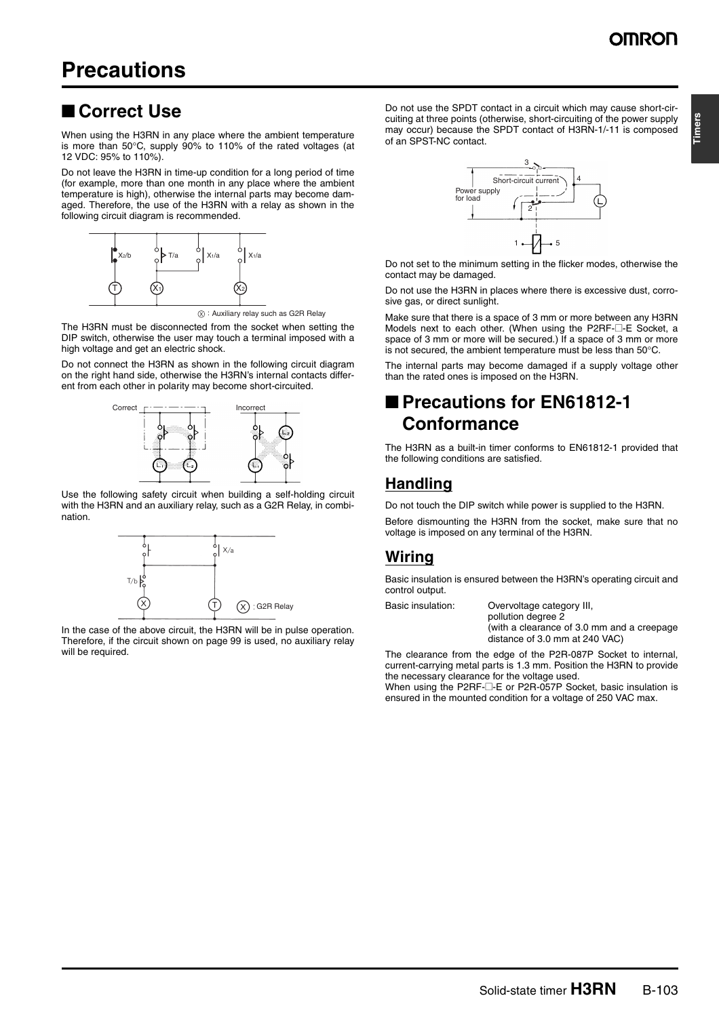# ■ **Correct Use**

When using the H3RN in any place where the ambient temperature is more than 50°C, supply 90% to 110% of the rated voltages (at 12 VDC: 95% to 110%).

Do not leave the H3RN in time-up condition for a long period of time (for example, more than one month in any place where the ambient temperature is high), otherwise the internal parts may become damaged. Therefore, the use of the H3RN with a relay as shown in the following circuit diagram is recommended.



 $(x)$ : Auxiliary relay such as G2R Relay

The H3RN must be disconnected from the socket when setting the DIP switch, otherwise the user may touch a terminal imposed with a high voltage and get an electric shock.

Do not connect the H3RN as shown in the following circuit diagram on the right hand side, otherwise the H3RN's internal contacts different from each other in polarity may become short-circuited.



Use the following safety circuit when building a self-holding circuit with the H3RN and an auxiliary relay, such as a G2R Relay, in combination.



In the case of the above circuit, the H3RN will be in pulse operation. Therefore, if the circuit shown on page 99 is used, no auxiliary relay will be required.

Do not use the SPDT contact in a circuit which may cause short-circuiting at three points (otherwise, short-circuiting of the power supply may occur) because the SPDT contact of H3RN-1/-11 is composed of an SPST-NC contact.



Do not set to the minimum setting in the flicker modes, otherwise the contact may be damaged.

Do not use the H3RN in places where there is excessive dust, corrosive gas, or direct sunlight.

Make sure that there is a space of 3 mm or more between any H3RN Models next to each other. (When using the P2RF-@-E Socket, a space of 3 mm or more will be secured.) If a space of 3 mm or more is not secured, the ambient temperature must be less than 50°C.

The internal parts may become damaged if a supply voltage other than the rated ones is imposed on the H3RN.

# ■ **Precautions for EN61812-1 Conformance**

The H3RN as a built-in timer conforms to EN61812-1 provided that the following conditions are satisfied.

### **Handling**

Do not touch the DIP switch while power is supplied to the H3RN.

Before dismounting the H3RN from the socket, make sure that no voltage is imposed on any terminal of the H3RN.

### **Wiring**

Basic insulation is ensured between the H3RN's operating circuit and control output.

Basic insulation: Overvoltage category III, pollution degree 2 (with a clearance of 3.0 mm and a creepage distance of 3.0 mm at 240 VAC)

The clearance from the edge of the P2R-087P Socket to internal, current-carrying metal parts is 1.3 mm. Position the H3RN to provide the necessary clearance for the voltage used.

When using the P2RF- $\square$ -E or P2R-057P Socket, basic insulation is ensured in the mounted condition for a voltage of 250 VAC max.